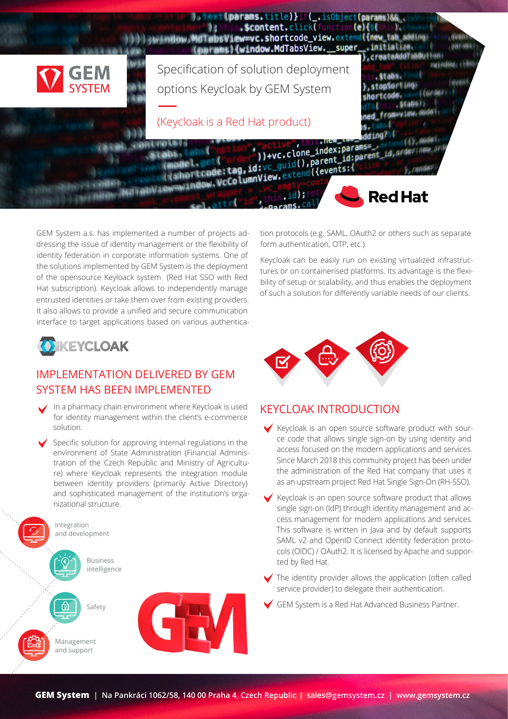

GEM System a.s. has implemented a number of projects addressing the issue of identity management or the flexibility of identity federation in corporate information systems. One of the solutions implemented by GEM System is the deployment of the opensource Keyloack system (Red Hat SSO with Red Hat subscription). Keycloak allows to independently manage entrusted identities or take them over from existing providers. It also allows to provide a unified and secure communication interface to target applications based on various authentica-



## IMPLEMENTATION DELIVERED BY GEM SYSTEM HAS BEEN IMPLEMENTED

- **•**  In a pharmacy chain environment where Keycloak is used for identity management within the client's e-commerce solution.
- Specific solution for approving internal regulations in the environment of State Administration (Financial Administration of the Czech Republic and Ministry of Agriculture) where Keycloak represents the integration module between identity providers (primarily Active Directory) and sophisticated management of the institution's organizational structure.



tion protocols (e.g. SAML, OAuth2 or others such as separate form authentication, OTP, etc.).

Keycloak can be easily run on existing virtualized infrastructures or on containerised platforms. Its advantage is the flexibility of setup or scalability, and thus enables the deployment of such a solution for differently variable needs of our clients.



## KEYCLOAK INTRODUCTION

- **•**  Keycloak is an open source software product with source code that allows single sign-on by using identity and access focused on the modern applications and services. Since March 2018 this community project has been under the administration of the Red Hat company that uses it as an upstream project Red Hat Single Sign-On (RH-SSO).
- Keycloak is an open source software product that allows single sign-on (IdP) through identity management and access management for modern applications and services. This software is written in Java and by default supports SAML v2 and OpenID Connect identity federation protocols (OIDC) / OAuth2. It is licensed by Apache and supported by Red Hat.
- The identity provider allows the application (often called service provider) to delegate their authentication.
- **GEM System is a Red Hat Advanced Business Partner.**